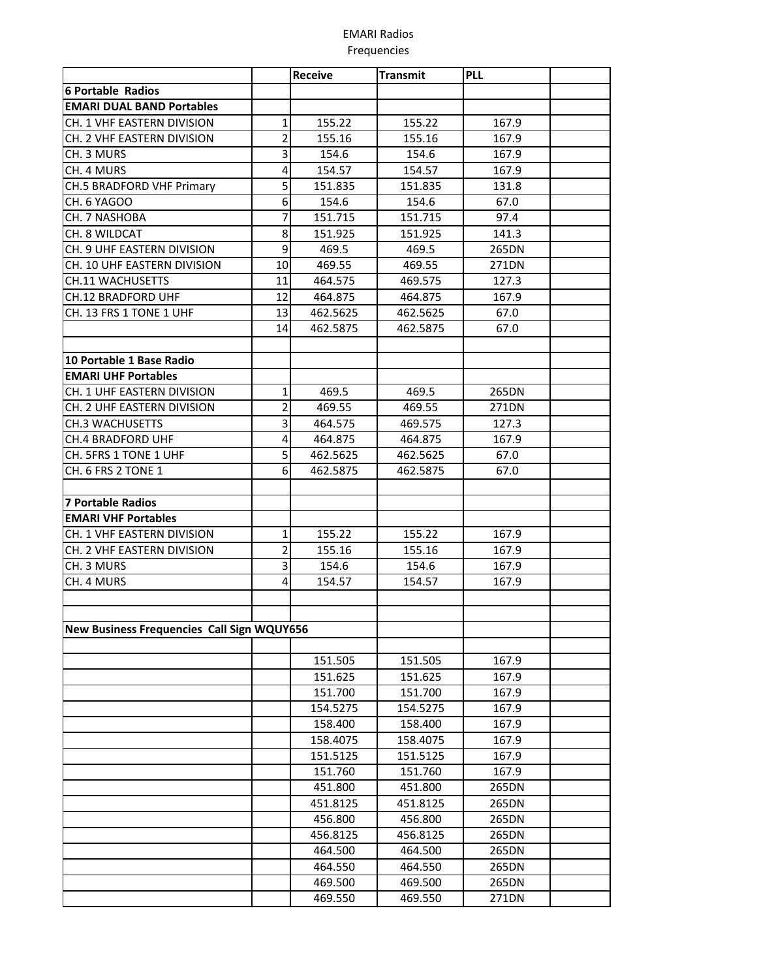## **EMARI Radios** Frequencies

|                                            |                | <b>Receive</b> | <b>Transmit</b> | <b>PLL</b> |  |
|--------------------------------------------|----------------|----------------|-----------------|------------|--|
| <b>6 Portable Radios</b>                   |                |                |                 |            |  |
| <b>EMARI DUAL BAND Portables</b>           |                |                |                 |            |  |
| CH. 1 VHF EASTERN DIVISION                 | 1              | 155.22         | 155.22          | 167.9      |  |
| CH. 2 VHF EASTERN DIVISION                 | 2              | 155.16         | 155.16          | 167.9      |  |
| CH. 3 MURS                                 | 3              | 154.6          | 154.6           | 167.9      |  |
| CH. 4 MURS                                 | 4              | 154.57         | 154.57          | 167.9      |  |
| <b>CH.5 BRADFORD VHF Primary</b>           | 5              | 151.835        | 151.835         | 131.8      |  |
| CH. 6 YAGOO                                | 6              | 154.6          | 154.6           | 67.0       |  |
| CH. 7 NASHOBA                              | 7              | 151.715        | 151.715         | 97.4       |  |
| CH. 8 WILDCAT                              | 8              | 151.925        | 151.925         | 141.3      |  |
| CH. 9 UHF EASTERN DIVISION                 | 9              | 469.5          | 469.5           | 265DN      |  |
| CH. 10 UHF EASTERN DIVISION                | 10             | 469.55         | 469.55          | 271DN      |  |
| <b>CH.11 WACHUSETTS</b>                    | 11             | 464.575        | 469.575         | 127.3      |  |
| <b>CH.12 BRADFORD UHF</b>                  | 12             | 464.875        | 464.875         | 167.9      |  |
| CH. 13 FRS 1 TONE 1 UHF                    | 13             | 462.5625       | 462.5625        | 67.0       |  |
|                                            | 14             | 462.5875       | 462.5875        | 67.0       |  |
|                                            |                |                |                 |            |  |
| 10 Portable 1 Base Radio                   |                |                |                 |            |  |
| <b>EMARI UHF Portables</b>                 |                |                |                 |            |  |
| CH. 1 UHF EASTERN DIVISION                 | 1              | 469.5          | 469.5           | 265DN      |  |
| CH. 2 UHF EASTERN DIVISION                 | $\overline{2}$ | 469.55         | 469.55          | 271DN      |  |
| <b>CH.3 WACHUSETTS</b>                     | 3              | 464.575        | 469.575         | 127.3      |  |
| CH.4 BRADFORD UHF                          | 4              | 464.875        | 464.875         | 167.9      |  |
| CH. 5FRS 1 TONE 1 UHF                      | 5              | 462.5625       | 462.5625        | 67.0       |  |
| CH. 6 FRS 2 TONE 1                         | 6              | 462.5875       | 462.5875        | 67.0       |  |
|                                            |                |                |                 |            |  |
| 7 Portable Radios                          |                |                |                 |            |  |
| <b>EMARI VHF Portables</b>                 |                |                |                 |            |  |
| CH. 1 VHF EASTERN DIVISION                 | 1              | 155.22         | 155.22          | 167.9      |  |
| CH. 2 VHF EASTERN DIVISION                 | $\overline{2}$ | 155.16         | 155.16          | 167.9      |  |
| CH. 3 MURS                                 | 3              | 154.6          | 154.6           | 167.9      |  |
| CH. 4 MURS                                 | 4              | 154.57         | 154.57          | 167.9      |  |
|                                            |                |                |                 |            |  |
|                                            |                |                |                 |            |  |
| New Business Frequencies Call Sign WQUY656 |                |                |                 |            |  |
|                                            |                |                |                 |            |  |
|                                            |                | 151.505        | 151.505         | 167.9      |  |
|                                            |                | 151.625        | 151.625         | 167.9      |  |
|                                            |                | 151.700        | 151.700         | 167.9      |  |
|                                            |                | 154.5275       | 154.5275        | 167.9      |  |
|                                            |                | 158.400        | 158.400         | 167.9      |  |
|                                            |                | 158.4075       | 158.4075        | 167.9      |  |
|                                            |                | 151.5125       | 151.5125        | 167.9      |  |
|                                            |                | 151.760        | 151.760         | 167.9      |  |
|                                            |                | 451.800        | 451.800         | 265DN      |  |
|                                            |                | 451.8125       | 451.8125        | 265DN      |  |
|                                            |                | 456.800        | 456.800         | 265DN      |  |
|                                            |                | 456.8125       | 456.8125        | 265DN      |  |
|                                            |                | 464.500        | 464.500         | 265DN      |  |
|                                            |                | 464.550        | 464.550         | 265DN      |  |
|                                            |                | 469.500        | 469.500         | 265DN      |  |
|                                            |                | 469.550        | 469.550         | 271DN      |  |
|                                            |                |                |                 |            |  |